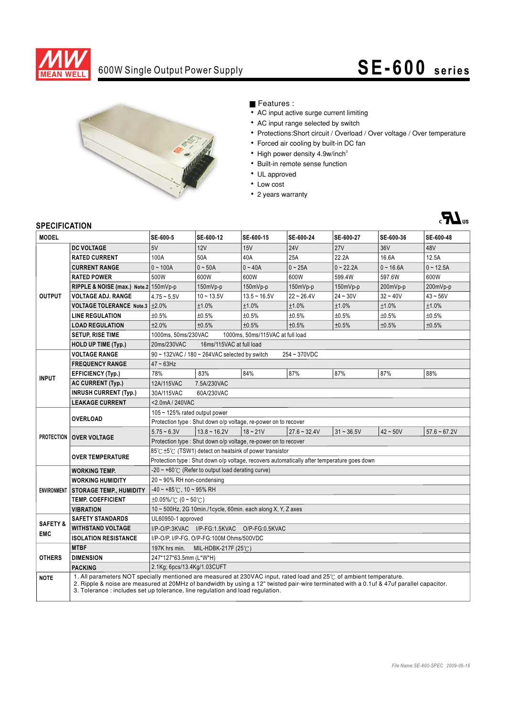

# 600W Single Output Power Supply **SE-600 s e ri e s**



### Features :

- AC input active surge current limiting
- AC input range selected by switch
- Protections:Short circuit / Overload / Over voltage / Over temperature
- Forced air cooling by built-in DC fan
- High power density 4.9w/inch<sup>3</sup>
- Built-in remote sense function
- UL approved
- Low cost
- 2 years warranty



### **SPECIFICATION**

| יועו וועם וועם<br><b>MODEL</b>    |                                                                                                                                                                                                                                                                                                                                                  | SE-600-5                                                                                    | SE-600-12      | SE-600-15      | SE-600-24      | SE-600-27    | SE-600-36       | SE-600-48      |
|-----------------------------------|--------------------------------------------------------------------------------------------------------------------------------------------------------------------------------------------------------------------------------------------------------------------------------------------------------------------------------------------------|---------------------------------------------------------------------------------------------|----------------|----------------|----------------|--------------|-----------------|----------------|
| <b>OUTPUT</b>                     | <b>DC VOLTAGE</b>                                                                                                                                                                                                                                                                                                                                | 5V                                                                                          | 12V            | 15V            | <b>24V</b>     | <b>27V</b>   | 36 <sub>V</sub> | 48V            |
|                                   | <b>RATED CURRENT</b>                                                                                                                                                                                                                                                                                                                             | 100A                                                                                        | 50A            | 40A            | 25A            | 22.2A        | 16.6A           | 12.5A          |
|                                   | <b>CURRENT RANGE</b>                                                                                                                                                                                                                                                                                                                             | $0 - 100A$                                                                                  | $0 - 50A$      | $0 - 40A$      | $0 - 25A$      | $0 - 22.2A$  | $0 - 16.6A$     | $0 - 12.5A$    |
|                                   | <b>RATED POWER</b>                                                                                                                                                                                                                                                                                                                               | 500W                                                                                        | 600W           | 600W           | 600W           | 599.4W       | 597.6W          | 600W           |
|                                   | RIPPLE & NOISE (max.) Note.2 150mVp-p                                                                                                                                                                                                                                                                                                            |                                                                                             | $150mVp-p$     | $150mVp-p$     | 150mVp-p       | 150mVp-p     | 200mVp-p        | 200mVp-p       |
|                                   | <b>VOLTAGE ADJ. RANGE</b>                                                                                                                                                                                                                                                                                                                        | $4.75 - 5.5V$                                                                               | $10 - 13.5V$   | $13.5 - 16.5V$ | $22 - 26.4V$   | $24 - 30V$   | $32 - 40V$      | $43 - 56V$     |
|                                   | <b>VOLTAGE TOLERANCE Note.3</b>                                                                                                                                                                                                                                                                                                                  | ±2.0%                                                                                       | ±1.0%          | ±1.0%          | ±1.0%          | ±1.0%        | ±1.0%           | ±1.0%          |
|                                   | <b>LINE REGULATION</b>                                                                                                                                                                                                                                                                                                                           | ±0.5%                                                                                       | ±0.5%          | ±0.5%          | ±0.5%          | ±0.5%        | ±0.5%           | ±0.5%          |
|                                   | <b>LOAD REGULATION</b>                                                                                                                                                                                                                                                                                                                           | ±2.0%                                                                                       | ±0.5%          | ±0.5%          | ±0.5%          | ±0.5%        | ±0.5%           | ±0.5%          |
|                                   | <b>SETUP, RISE TIME</b>                                                                                                                                                                                                                                                                                                                          | 1000ms, 50ms/230VAC<br>1000ms, 50ms/115VAC at full load                                     |                |                |                |              |                 |                |
|                                   | <b>HOLD UP TIME (Typ.)</b>                                                                                                                                                                                                                                                                                                                       | 20ms/230VAC<br>16ms/115VAC at full load                                                     |                |                |                |              |                 |                |
| <b>INPUT</b>                      | <b>VOLTAGE RANGE</b>                                                                                                                                                                                                                                                                                                                             | $90 \sim$ 132VAC / 180 $\sim$ 264VAC selected by switch<br>254~370VDC                       |                |                |                |              |                 |                |
|                                   | <b>FREQUENCY RANGE</b>                                                                                                                                                                                                                                                                                                                           | $47 - 63$ Hz                                                                                |                |                |                |              |                 |                |
|                                   | <b>EFFICIENCY (Typ.)</b>                                                                                                                                                                                                                                                                                                                         | 78%                                                                                         | 83%            | 84%            | 87%            | 87%          | 87%             | 88%            |
|                                   | <b>AC CURRENT (Typ.)</b>                                                                                                                                                                                                                                                                                                                         | 12A/115VAC<br>7.5A/230VAC                                                                   |                |                |                |              |                 |                |
|                                   | <b>INRUSH CURRENT (Typ.)</b>                                                                                                                                                                                                                                                                                                                     | 30A/115VAC<br>60A/230VAC                                                                    |                |                |                |              |                 |                |
|                                   | <b>LEAKAGE CURRENT</b>                                                                                                                                                                                                                                                                                                                           | <2.0mA/240VAC                                                                               |                |                |                |              |                 |                |
|                                   | <b>OVERLOAD</b>                                                                                                                                                                                                                                                                                                                                  | 105 ~ 125% rated output power                                                               |                |                |                |              |                 |                |
|                                   |                                                                                                                                                                                                                                                                                                                                                  | Protection type : Shut down o/p voltage, re-power on to recover                             |                |                |                |              |                 |                |
|                                   | <b>PROTECTION   OVER VOLTAGE</b>                                                                                                                                                                                                                                                                                                                 | $5.75 - 6.3V$                                                                               | $13.8 - 16.2V$ | $18 - 21V$     | $27.6 - 32.4V$ | $31 - 36.5V$ | $42 - 50V$      | $57.6 - 67.2V$ |
|                                   |                                                                                                                                                                                                                                                                                                                                                  | Protection type : Shut down o/p voltage, re-power on to recover                             |                |                |                |              |                 |                |
|                                   | <b>OVER TEMPERATURE</b>                                                                                                                                                                                                                                                                                                                          | 85℃±5℃ (TSW1) detect on heatsink of power transistor                                        |                |                |                |              |                 |                |
|                                   |                                                                                                                                                                                                                                                                                                                                                  | Protection type : Shut down o/p voltage, recovers automatically after temperature goes down |                |                |                |              |                 |                |
| <b>ENVIRONMENT</b>                | <b>WORKING TEMP.</b>                                                                                                                                                                                                                                                                                                                             | $-20 \sim +60^{\circ}$ (Refer to output load derating curve)                                |                |                |                |              |                 |                |
|                                   | <b>WORKING HUMIDITY</b>                                                                                                                                                                                                                                                                                                                          | $20 \sim 90\%$ RH non-condensing                                                            |                |                |                |              |                 |                |
|                                   | <b>STORAGE TEMP., HUMIDITY</b>                                                                                                                                                                                                                                                                                                                   | $-40 \sim +85^{\circ}$ C, 10 ~ 95% RH                                                       |                |                |                |              |                 |                |
|                                   | <b>TEMP. COEFFICIENT</b>                                                                                                                                                                                                                                                                                                                         | $\pm 0.05\%$ (0 ~ 50°C)                                                                     |                |                |                |              |                 |                |
|                                   | <b>VIBRATION</b>                                                                                                                                                                                                                                                                                                                                 | 10 ~ 500Hz, 2G 10min./1cycle, 60min. each along X, Y, Z axes                                |                |                |                |              |                 |                |
| <b>SAFETY &amp;</b><br><b>EMC</b> | <b>SAFETY STANDARDS</b>                                                                                                                                                                                                                                                                                                                          | UL60950-1 approved                                                                          |                |                |                |              |                 |                |
|                                   | <b>WITHSTAND VOLTAGE</b>                                                                                                                                                                                                                                                                                                                         | I/P-O/P:3KVAC I/P-FG:1.5KVAC<br>O/P-FG:0.5KVAC                                              |                |                |                |              |                 |                |
|                                   | <b>ISOLATION RESISTANCE</b>                                                                                                                                                                                                                                                                                                                      | I/P-O/P, I/P-FG, O/P-FG:100M Ohms/500VDC                                                    |                |                |                |              |                 |                |
| <b>OTHERS</b>                     | <b>MTBF</b>                                                                                                                                                                                                                                                                                                                                      | 197K hrs min.<br>MIL-HDBK-217F (25 $°C$ )                                                   |                |                |                |              |                 |                |
|                                   | <b>DIMENSION</b>                                                                                                                                                                                                                                                                                                                                 | 247*127*63.5mm (L*W*H)                                                                      |                |                |                |              |                 |                |
|                                   | <b>PACKING</b>                                                                                                                                                                                                                                                                                                                                   | 2.1Kg; 6pcs/13.4Kg/1.03CUFT                                                                 |                |                |                |              |                 |                |
| <b>NOTE</b>                       | 1. All parameters NOT specially mentioned are measured at 230VAC input, rated load and 25°C of ambient temperature.<br>2. Ripple & noise are measured at 20MHz of bandwidth by using a 12" twisted pair-wire terminated with a 0.1uf & 47uf parallel capacitor.<br>3. Tolerance: includes set up tolerance, line regulation and load regulation. |                                                                                             |                |                |                |              |                 |                |